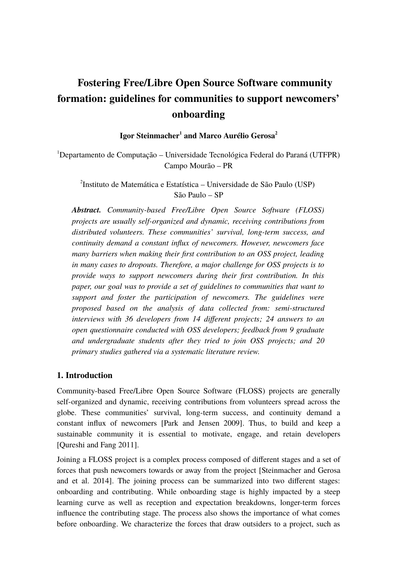# **Fostering Free/Libre Open Source Software community formation: guidelines for communities to support newcomers' onboarding**

**Igor Steinmacher<sup>1</sup> and Marco Aurélio Gerosa<sup>2</sup>**

 $1$ Departamento de Computação – Universidade Tecnológica Federal do Paraná (UTFPR) Campo Mourão – PR

2 Instituto de Matemática e Estatística – Universidade de São Paulo (USP) São Paulo – SP

*Abstract. Community-based Free/Libre Open Source Software (FLOSS) projects are usually self-organized and dynamic, receiving contributions from distributed volunteers. These communities' survival, long-term success, and continuity demand a constant influx of newcomers. However, newcomers face many barriers when making their first contribution to an OSS project, leading in many cases to dropouts. Therefore, a major challenge for OSS projects is to provide ways to support newcomers during their first contribution. In this paper, our goal was to provide a set of guidelines to communities that want to support and foster the participation of newcomers. The guidelines were proposed based on the analysis of data collected from: semi-structured interviews with 36 developers from 14 different projects; 24 answers to an open questionnaire conducted with OSS developers; feedback from 9 graduate and undergraduate students after they tried to join OSS projects; and 20 primary studies gathered via a systematic literature review.*

## **1. Introduction**

Community-based Free/Libre Open Source Software (FLOSS) projects are generally self-organized and dynamic, receiving contributions from volunteers spread across the globe. These communities' survival, long-term success, and continuity demand a constant influx of newcomers [Park and Jensen 2009]. Thus, to build and keep a sustainable community it is essential to motivate, engage, and retain developers [Qureshi and Fang 2011].

Joining a FLOSS project is a complex process composed of different stages and a set of forces that push newcomers towards or away from the project [Steinmacher and Gerosa and et al. 2014]. The joining process can be summarized into two different stages: onboarding and contributing. While onboarding stage is highly impacted by a steep learning curve as well as reception and expectation breakdowns, longer-term forces influence the contributing stage. The process also shows the importance of what comes before onboarding. We characterize the forces that draw outsiders to a project, such as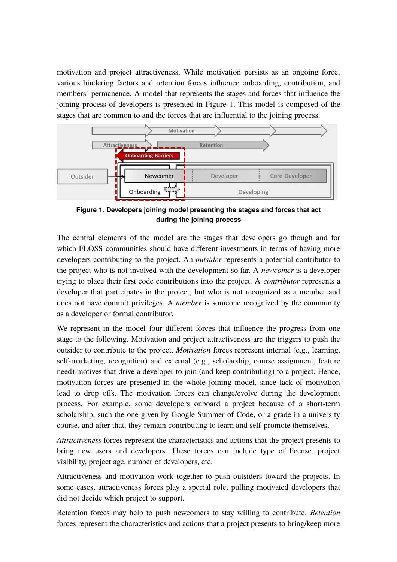motivation and project attractiveness. While motivation persists as an ongoing force, various hindering factors and retention forces influence onboarding, contribution, and members' permanence. A model that represents the stages and forces that influence the joining process of developers is presented in [Figure 1.](#page-1-0) This model is composed of the stages that are common to and the forces that are influential to the joining process.



<span id="page-1-0"></span>**Figure 1. Developers joining model presenting the stages and forces that act during the joining process**

The central elements of the model are the stages that developers go though and for which FLOSS communities should have different investments in terms of having more developers contributing to the project. An *outsider* represents a potential contributor to the project who is not involved with the development so far. A *newcomer* is a developer trying to place their first code contributions into the project. A *contributor* represents a developer that participates in the project, but who is not recognized as a member and does not have commit privileges. A *member* is someone recognized by the community as a developer or formal contributor.

We represent in the model four different forces that influence the progress from one stage to the following. Motivation and project attractiveness are the triggers to push the outsider to contribute to the project. *Motivation* forces represent internal (e.g., learning, self-marketing, recognition) and external (e.g., scholarship, course assignment, feature need) motives that drive a developer to join (and keep contributing) to a project. Hence, motivation forces are presented in the whole joining model, since lack of motivation lead to drop offs. The motivation forces can change/evolve during the development process. For example, some developers onboard a project because of a short-term scholarship, such the one given by Google Summer of Code, or a grade in a university course, and after that, they remain contributing to learn and self-promote themselves.

*Attractiveness* forces represent the characteristics and actions that the project presents to bring new users and developers. These forces can include type of license, project visibility, project age, number of developers, etc.

Attractiveness and motivation work together to push outsiders toward the projects. In some cases, attractiveness forces play a special role, pulling motivated developers that did not decide which project to support.

Retention forces may help to push newcomers to stay willing to contribute. *Retention* forces represent the characteristics and actions that a project presents to bring/keep more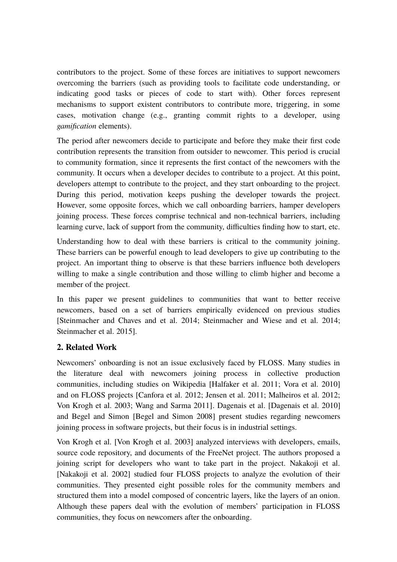contributors to the project. Some of these forces are initiatives to support newcomers overcoming the barriers (such as providing tools to facilitate code understanding, or indicating good tasks or pieces of code to start with). Other forces represent mechanisms to support existent contributors to contribute more, triggering, in some cases, motivation change (e.g., granting commit rights to a developer, using *gamification* elements).

The period after newcomers decide to participate and before they make their first code contribution represents the transition from outsider to newcomer. This period is crucial to community formation, since it represents the first contact of the newcomers with the community. It occurs when a developer decides to contribute to a project. At this point, developers attempt to contribute to the project, and they start onboarding to the project. During this period, motivation keeps pushing the developer towards the project. However, some opposite forces, which we call onboarding barriers, hamper developers joining process. These forces comprise technical and non-technical barriers, including learning curve, lack of support from the community, difficulties finding how to start, etc.

Understanding how to deal with these barriers is critical to the community joining. These barriers can be powerful enough to lead developers to give up contributing to the project. An important thing to observe is that these barriers influence both developers willing to make a single contribution and those willing to climb higher and become a member of the project.

In this paper we present guidelines to communities that want to better receive newcomers, based on a set of barriers empirically evidenced on previous studies [Steinmacher and Chaves and et al. 2014; Steinmacher and Wiese and et al. 2014; Steinmacher et al. 2015].

# **2. Related Work**

Newcomers' onboarding is not an issue exclusively faced by FLOSS. Many studies in the literature deal with newcomers joining process in collective production communities, including studies on Wikipedia [Halfaker et al. 2011; Vora et al. 2010] and on FLOSS projects [Canfora et al. 2012; Jensen et al. 2011; Malheiros et al. 2012; Von Krogh et al. 2003; Wang and Sarma 2011]. Dagenais et al. [Dagenais et al. 2010] and Begel and Simon [Begel and Simon 2008] present studies regarding newcomers joining process in software projects, but their focus is in industrial settings.

Von Krogh et al. [Von Krogh et al. 2003] analyzed interviews with developers, emails, source code repository, and documents of the FreeNet project. The authors proposed a joining script for developers who want to take part in the project. Nakakoji et al. [Nakakoji et al. 2002] studied four FLOSS projects to analyze the evolution of their communities. They presented eight possible roles for the community members and structured them into a model composed of concentric layers, like the layers of an onion. Although these papers deal with the evolution of members' participation in FLOSS communities, they focus on newcomers after the onboarding.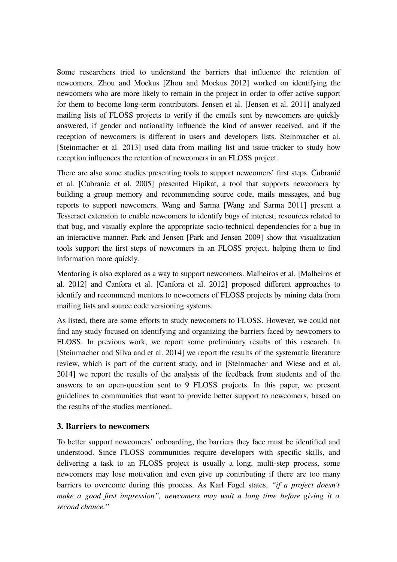Some researchers tried to understand the barriers that influence the retention of newcomers. Zhou and Mockus [Zhou and Mockus 2012] worked on identifying the newcomers who are more likely to remain in the project in order to offer active support for them to become long-term contributors. Jensen et al. [Jensen et al. 2011] analyzed mailing lists of FLOSS projects to verify if the emails sent by newcomers are quickly answered, if gender and nationality influence the kind of answer received, and if the reception of newcomers is different in users and developers lists. Steinmacher et al. [Steinmacher et al. 2013] used data from mailing list and issue tracker to study how reception influences the retention of newcomers in an FLOSS project.

There are also some studies presenting tools to support newcomers' first steps. Čubranić et al. [Cubranic et al. 2005] presented Hipikat, a tool that supports newcomers by building a group memory and recommending source code, mails messages, and bug reports to support newcomers. Wang and Sarma [Wang and Sarma 2011] present a Tesseract extension to enable newcomers to identify bugs of interest, resources related to that bug, and visually explore the appropriate socio-technical dependencies for a bug in an interactive manner. Park and Jensen [Park and Jensen 2009] show that visualization tools support the first steps of newcomers in an FLOSS project, helping them to find information more quickly.

Mentoring is also explored as a way to support newcomers. Malheiros et al. [Malheiros et al. 2012] and Canfora et al. [Canfora et al. 2012] proposed different approaches to identify and recommend mentors to newcomers of FLOSS projects by mining data from mailing lists and source code versioning systems.

As listed, there are some efforts to study newcomers to FLOSS. However, we could not find any study focused on identifying and organizing the barriers faced by newcomers to FLOSS. In previous work, we report some preliminary results of this research. In [Steinmacher and Silva and et al. 2014] we report the results of the systematic literature review, which is part of the current study, and in [Steinmacher and Wiese and et al. 2014] we report the results of the analysis of the feedback from students and of the answers to an open-question sent to 9 FLOSS projects. In this paper, we present guidelines to communities that want to provide better support to newcomers, based on the results of the studies mentioned.

## **3. Barriers to newcomers**

To better support newcomers' onboarding, the barriers they face must be identified and understood. Since FLOSS communities require developers with specific skills, and delivering a task to an FLOSS project is usually a long, multi-step process, some newcomers may lose motivation and even give up contributing if there are too many barriers to overcome during this process. As Karl Fogel states, *"if a project doesn't make a good first impression", newcomers may wait a long time before giving it a second chance."*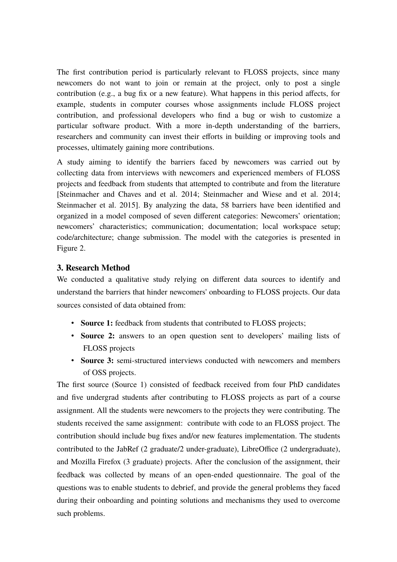The first contribution period is particularly relevant to FLOSS projects, since many newcomers do not want to join or remain at the project, only to post a single contribution (e.g., a bug fix or a new feature). What happens in this period affects, for example, students in computer courses whose assignments include FLOSS project contribution, and professional developers who find a bug or wish to customize a particular software product. With a more in-depth understanding of the barriers, researchers and community can invest their efforts in building or improving tools and processes, ultimately gaining more contributions.

A study aiming to identify the barriers faced by newcomers was carried out by collecting data from interviews with newcomers and experienced members of FLOSS projects and feedback from students that attempted to contribute and from the literature [Steinmacher and Chaves and et al. 2014; Steinmacher and Wiese and et al. 2014; Steinmacher et al. 2015]. By analyzing the data, 58 barriers have been identified and organized in a model composed of seven different categories: Newcomers' orientation; newcomers' characteristics; communication; documentation; local workspace setup; code/architecture; change submission. The model with the categories is presented in Figure 2.

## **3. Research Method**

We conducted a qualitative study relying on different data sources to identify and understand the barriers that hinder newcomers' onboarding to FLOSS projects. Our data sources consisted of data obtained from:

- **Source 1:** feedback from students that contributed to FLOSS projects;
- **Source 2:** answers to an open question sent to developers' mailing lists of FLOSS projects
- **Source 3:** semi-structured interviews conducted with newcomers and members of OSS projects.

The first source (Source 1) consisted of feedback received from four PhD candidates and five undergrad students after contributing to FLOSS projects as part of a course assignment. All the students were newcomers to the projects they were contributing. The students received the same assignment: contribute with code to an FLOSS project. The contribution should include bug fixes and/or new features implementation. The students contributed to the JabRef (2 graduate/2 under-graduate), LibreOffice (2 undergraduate), and Mozilla Firefox (3 graduate) projects. After the conclusion of the assignment, their feedback was collected by means of an open-ended questionnaire. The goal of the questions was to enable students to debrief, and provide the general problems they faced during their onboarding and pointing solutions and mechanisms they used to overcome such problems.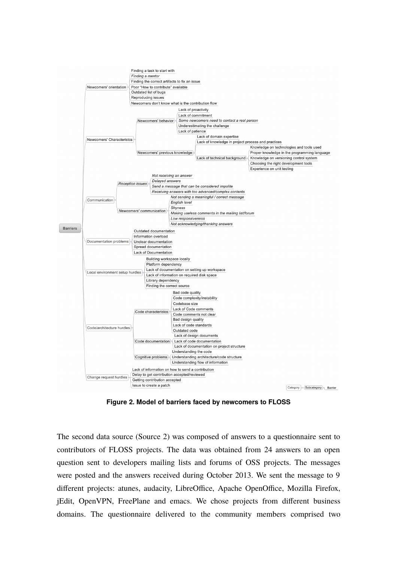

**Figure 2. Model of barriers faced by newcomers to FLOSS**

The second data source (Source 2) was composed of answers to a questionnaire sent to contributors of FLOSS projects. The data was obtained from 24 answers to an open question sent to developers mailing lists and forums of OSS projects. The messages were posted and the answers received during October 2013. We sent the message to 9 different projects: atunes, audacity, LibreOffice, Apache OpenOffice, Mozilla Firefox, jEdit, OpenVPN, FreePlane and emacs. We chose projects from different business domains. The questionnaire delivered to the community members comprised two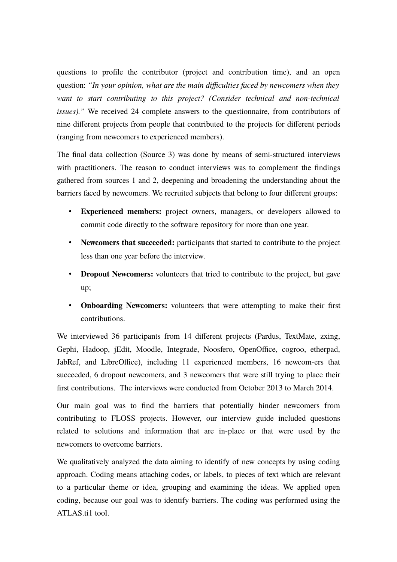questions to profile the contributor (project and contribution time), and an open question: *"In your opinion, what are the main difficulties faced by newcomers when they want to start contributing to this project? (Consider technical and non-technical issues)."* We received 24 complete answers to the questionnaire, from contributors of nine different projects from people that contributed to the projects for different periods (ranging from newcomers to experienced members).

The final data collection (Source 3) was done by means of semi-structured interviews with practitioners. The reason to conduct interviews was to complement the findings gathered from sources 1 and 2, deepening and broadening the understanding about the barriers faced by newcomers. We recruited subjects that belong to four different groups:

- **Experienced members:** project owners, managers, or developers allowed to commit code directly to the software repository for more than one year.
- **Newcomers that succeeded:** participants that started to contribute to the project less than one year before the interview.
- **Dropout Newcomers:** volunteers that tried to contribute to the project, but gave up;
- **Onboarding Newcomers:** volunteers that were attempting to make their first contributions.

We interviewed 36 participants from 14 different projects (Pardus, TextMate, zxing, Gephi, Hadoop, jEdit, Moodle, Integrade, Noosfero, OpenOffice, cogroo, etherpad, JabRef, and LibreOffice), including 11 experienced members, 16 newcom-ers that succeeded, 6 dropout newcomers, and 3 newcomers that were still trying to place their first contributions. The interviews were conducted from October 2013 to March 2014.

Our main goal was to find the barriers that potentially hinder newcomers from contributing to FLOSS projects. However, our interview guide included questions related to solutions and information that are in-place or that were used by the newcomers to overcome barriers.

We qualitatively analyzed the data aiming to identify of new concepts by using coding approach. Coding means attaching codes, or labels, to pieces of text which are relevant to a particular theme or idea, grouping and examining the ideas. We applied open coding, because our goal was to identify barriers. The coding was performed using the ATLAS.ti1 tool.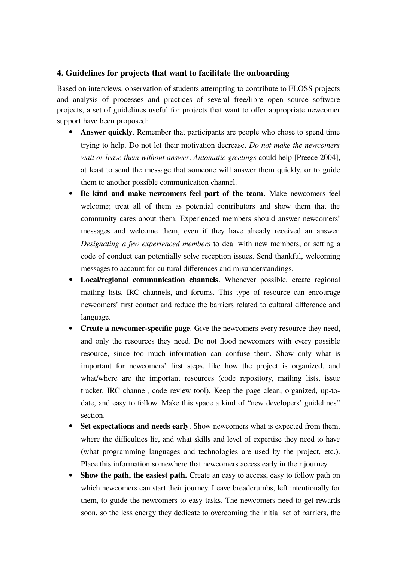#### **4. Guidelines for projects that want to facilitate the onboarding**

Based on interviews, observation of students attempting to contribute to FLOSS projects and analysis of processes and practices of several free/libre open source software projects, a set of guidelines useful for projects that want to offer appropriate newcomer support have been proposed:

- **Answer quickly**. Remember that participants are people who chose to spend time trying to help. Do not let their motivation decrease. *Do not make the newcomers wait or leave them without answer*. *Automatic greetings* could help [Preece 2004], at least to send the message that someone will answer them quickly, or to guide them to another possible communication channel.
- **Be kind and make newcomers feel part of the team**. Make newcomers feel welcome; treat all of them as potential contributors and show them that the community cares about them. Experienced members should answer newcomers' messages and welcome them, even if they have already received an answer. *Designating a few experienced members* to deal with new members, or setting a code of conduct can potentially solve reception issues. Send thankful, welcoming messages to account for cultural differences and misunderstandings.
- **Local/regional communication channels**. Whenever possible, create regional mailing lists, IRC channels, and forums. This type of resource can encourage newcomers' first contact and reduce the barriers related to cultural difference and language.
- **Create a newcomer-specific page**. Give the newcomers every resource they need, and only the resources they need. Do not flood newcomers with every possible resource, since too much information can confuse them. Show only what is important for newcomers' first steps, like how the project is organized, and what/where are the important resources (code repository, mailing lists, issue tracker, IRC channel, code review tool). Keep the page clean, organized, up-todate, and easy to follow. Make this space a kind of "new developers' guidelines" section.
- **Set expectations and needs early**. Show newcomers what is expected from them, where the difficulties lie, and what skills and level of expertise they need to have (what programming languages and technologies are used by the project, etc.). Place this information somewhere that newcomers access early in their journey.
- **Show the path, the easiest path.** Create an easy to access, easy to follow path on which newcomers can start their journey. Leave breadcrumbs, left intentionally for them, to guide the newcomers to easy tasks. The newcomers need to get rewards soon, so the less energy they dedicate to overcoming the initial set of barriers, the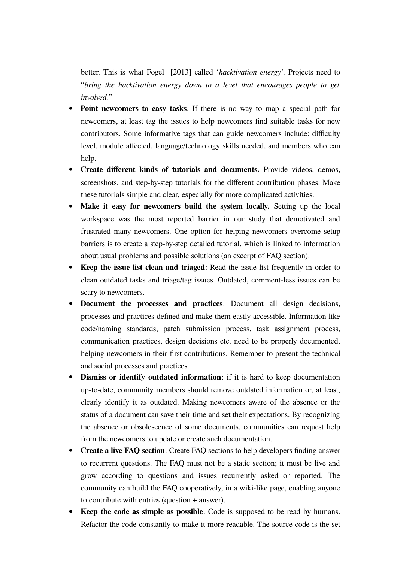better. This is what Fogel [2013] called '*hacktivation energy*'. Projects need to "*bring the hacktivation energy down to a level that encourages people to get involved.*"

- **Point newcomers to easy tasks**. If there is no way to map a special path for newcomers, at least tag the issues to help newcomers find suitable tasks for new contributors. Some informative tags that can guide newcomers include: difficulty level, module affected, language/technology skills needed, and members who can help.
- **Create different kinds of tutorials and documents.** Provide videos, demos, screenshots, and step-by-step tutorials for the different contribution phases. Make these tutorials simple and clear, especially for more complicated activities.
- **Make it easy for newcomers build the system locally.** Setting up the local workspace was the most reported barrier in our study that demotivated and frustrated many newcomers. One option for helping newcomers overcome setup barriers is to create a step-by-step detailed tutorial, which is linked to information about usual problems and possible solutions (an excerpt of FAQ section).
- **Keep the issue list clean and triaged**: Read the issue list frequently in order to clean outdated tasks and triage/tag issues. Outdated, comment-less issues can be scary to newcomers.
- **Document the processes and practices**: Document all design decisions, processes and practices defined and make them easily accessible. Information like code/naming standards, patch submission process, task assignment process, communication practices, design decisions etc. need to be properly documented, helping newcomers in their first contributions. Remember to present the technical and social processes and practices.
- **Dismiss or identify outdated information**: if it is hard to keep documentation up-to-date, community members should remove outdated information or, at least, clearly identify it as outdated. Making newcomers aware of the absence or the status of a document can save their time and set their expectations. By recognizing the absence or obsolescence of some documents, communities can request help from the newcomers to update or create such documentation.
- **Create a live FAQ section**. Create FAQ sections to help developers finding answer to recurrent questions. The FAQ must not be a static section; it must be live and grow according to questions and issues recurrently asked or reported. The community can build the FAQ cooperatively, in a wiki-like page, enabling anyone to contribute with entries (question + answer).
- **Keep the code as simple as possible**. Code is supposed to be read by humans. Refactor the code constantly to make it more readable. The source code is the set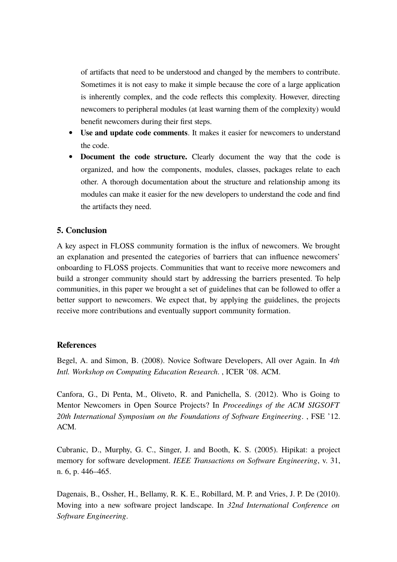of artifacts that need to be understood and changed by the members to contribute. Sometimes it is not easy to make it simple because the core of a large application is inherently complex, and the code reflects this complexity. However, directing newcomers to peripheral modules (at least warning them of the complexity) would benefit newcomers during their first steps.

- **Use and update code comments**. It makes it easier for newcomers to understand the code.
- **Document the code structure.** Clearly document the way that the code is organized, and how the components, modules, classes, packages relate to each other. A thorough documentation about the structure and relationship among its modules can make it easier for the new developers to understand the code and find the artifacts they need.

## **5. Conclusion**

A key aspect in FLOSS community formation is the influx of newcomers. We brought an explanation and presented the categories of barriers that can influence newcomers' onboarding to FLOSS projects. Communities that want to receive more newcomers and build a stronger community should start by addressing the barriers presented. To help communities, in this paper we brought a set of guidelines that can be followed to offer a better support to newcomers. We expect that, by applying the guidelines, the projects receive more contributions and eventually support community formation.

#### **References**

Begel, A. and Simon, B. (2008). Novice Software Developers, All over Again. In *4th Intl. Workshop on Computing Education Research*. , ICER '08. ACM.

Canfora, G., Di Penta, M., Oliveto, R. and Panichella, S. (2012). Who is Going to Mentor Newcomers in Open Source Projects? In *Proceedings of the ACM SIGSOFT 20th International Symposium on the Foundations of Software Engineering*. , FSE '12. ACM.

Cubranic, D., Murphy, G. C., Singer, J. and Booth, K. S. (2005). Hipikat: a project memory for software development. *IEEE Transactions on Software Engineering*, v. 31, n. 6, p. 446–465.

Dagenais, B., Ossher, H., Bellamy, R. K. E., Robillard, M. P. and Vries, J. P. De (2010). Moving into a new software project landscape. In *32nd International Conference on Software Engineering*.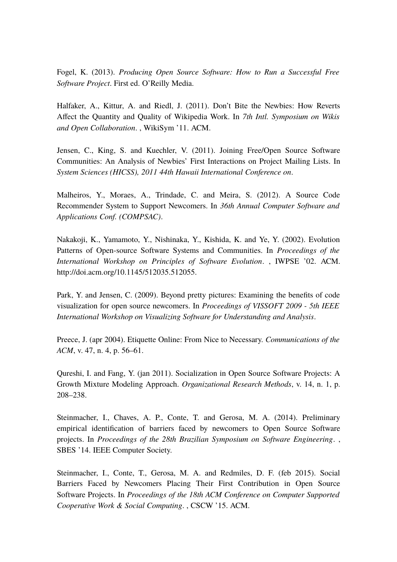Fogel, K. (2013). *Producing Open Source Software: How to Run a Successful Free Software Project*. First ed. O'Reilly Media.

Halfaker, A., Kittur, A. and Riedl, J. (2011). Don't Bite the Newbies: How Reverts Affect the Quantity and Quality of Wikipedia Work. In *7th Intl. Symposium on Wikis and Open Collaboration*. , WikiSym '11. ACM.

Jensen, C., King, S. and Kuechler, V. (2011). Joining Free/Open Source Software Communities: An Analysis of Newbies' First Interactions on Project Mailing Lists. In *System Sciences (HICSS), 2011 44th Hawaii International Conference on*.

Malheiros, Y., Moraes, A., Trindade, C. and Meira, S. (2012). A Source Code Recommender System to Support Newcomers. In *36th Annual Computer Software and Applications Conf. (COMPSAC)*.

Nakakoji, K., Yamamoto, Y., Nishinaka, Y., Kishida, K. and Ye, Y. (2002). Evolution Patterns of Open-source Software Systems and Communities. In *Proceedings of the International Workshop on Principles of Software Evolution*. , IWPSE '02. ACM. http://doi.acm.org/10.1145/512035.512055.

Park, Y. and Jensen, C. (2009). Beyond pretty pictures: Examining the benefits of code visualization for open source newcomers. In *Proceedings of VISSOFT 2009 - 5th IEEE International Workshop on Visualizing Software for Understanding and Analysis*.

Preece, J. (apr 2004). Etiquette Online: From Nice to Necessary. *Communications of the ACM*, v. 47, n. 4, p. 56–61.

Qureshi, I. and Fang, Y. (jan 2011). Socialization in Open Source Software Projects: A Growth Mixture Modeling Approach. *Organizational Research Methods*, v. 14, n. 1, p. 208–238.

Steinmacher, I., Chaves, A. P., Conte, T. and Gerosa, M. A. (2014). Preliminary empirical identification of barriers faced by newcomers to Open Source Software projects. In *Proceedings of the 28th Brazilian Symposium on Software Engineering*. , SBES '14. IEEE Computer Society.

Steinmacher, I., Conte, T., Gerosa, M. A. and Redmiles, D. F. (feb 2015). Social Barriers Faced by Newcomers Placing Their First Contribution in Open Source Software Projects. In *Proceedings of the 18th ACM Conference on Computer Supported Cooperative Work & Social Computing*. , CSCW '15. ACM.